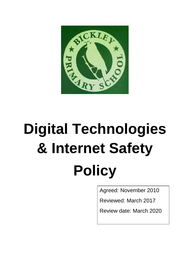

# **Digital Technologies & Internet Safety Policy**

Agreed: November 2010

Reviewed: March 2017

Review date: March 2020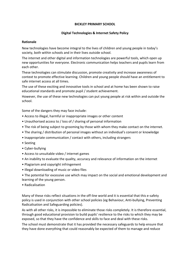#### **BICKLEY PRIMARY SCHOOL**

## **Digital Technologies & Internet Safety Policy**

#### **Rationale**

New technologies have become integral to the lives of children and young people in today's society, both within schools and in their lives outside school.

The internet and other digital and information technologies are powerful tools, which open up new opportunities for everyone. Electronic communication helps teachers and pupils learn from each other.

These technologies can stimulate discussion, promote creativity and increase awareness of context to promote effective learning. Children and young people should have an entitlement to safe internet access at all times.

The use of these exciting and innovative tools in school and at home has been shown to raise educational standards and promote pupil / student achievement.

However, the use of these new technologies can put young people at risk within and outside the school.

Some of the dangers they may face include:

- Access to illegal, harmful or inappropriate images or other content
- Unauthorised access to / loss of / sharing of personal information
- The risk of being subject to grooming by those with whom they make contact on the internet.
- The sharing / distribution of personal images without an individual's consent or knowledge
- Inappropriate communication / contact with others, including strangers
- Sexting
- Cyber-bullying
- Access to unsuitable video / internet games
- An inability to evaluate the quality, accuracy and relevance of information on the internet
- Plagiarism and copyright infringement
- Illegal downloading of music or video files
- The potential for excessive use which may impact on the social and emotional development and learning of the young person.
- Radicalisation

Many of these risks reflect situations in the off-line world and it is essential that this e-safety policy is used in conjunction with other school policies (eg Behaviour, Anti-bullying, Preventing Radicalisation and Safeguarding policies).

As with all other risks, it is impossible to eliminate those risks completely. It is therefore essential, through good educational provision to build pupils' resilience to the risks to which they may be exposed, so that they have the confidence and skills to face and deal with these risks.

The school must demonstrate that it has provided the necessary safeguards to help ensure that they have done everything that could reasonably be expected of them to manage and reduce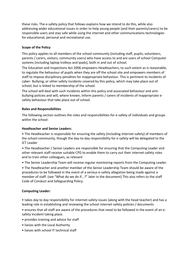these risks. The e-safety policy that follows explains how we intend to do this, while also addressing wider educational issues in order to help young people (and their parents/carers) to be responsible users and stay safe while using the internet and other communications technologies for educational, personal and recreational use.

# **Scope of the Policy**

This policy applies to all members of the school community (including staff, pupils, volunteers, parents / carers, visitors, community users) who have access to and are users of school Computer systems (including laptop trolleys and ipads), both in and out of school.

The Education and Inspections Act 2006 empowers Headteachers, to such extent as is reasonable, to regulate the behaviour of pupils when they are off the school site and empowers members of staff to impose disciplinary penalties for inappropriate behaviour. This is pertinent to incidents of cyber- Bullying, or other safety incidents covered by this policy, which may take place out of school, but is linked to membership of the school.

The school will deal with such incidents within this policy and associated behaviour and antibullying policies and will, where known, inform parents / carers of incidents of inappropriate esafety behaviour that take place out of school.

## **Roles and Responsibilities**

The following section outlines the roles and responsibilities for e-safety of individuals and groups within the school:

## **Headteacher and Senior Leaders:**

• The Headteacher is responsible for ensuring the safety (including internet-safety) of members of the school community, though the day-to-day responsibility for e-safety will be delegated to the ICT Leader

*•* The Headteacher / Senior Leaders are responsible for ensuring that the Computing Leader and other relevant staff receive suitable CPD to enable them to carry out their internet-safety roles and to train other colleagues, as relevant

*•* The Senior Leadership Team will receive regular monitoring reports from the Computing Leader.

• The Headteacher and another member of the Senior Leadership Team should be aware of the procedures to be followed in the event of a serious e-safety allegation being made against a member of staff. (see "What do we do if...?" later in the document) This also refers to the staff Code of Conduct and Safeguarding Policy.

# **Computing Leader:**

• takes day to day responsibility for internet-safety issues (along with the head teacher) and has a leading role in establishing and reviewing the school internet-safety policies / documents

• ensures that all staff are aware of the procedures that need to be followed in the event of an esafety incident taking place.

- provides training and advice for staff
- liaises with the Local Authority
- liaises with school IT technical staff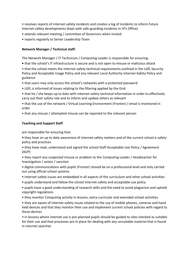• receives reports of internet-safety incidents and creates a log of incidents to inform future internet-safety developments (kept with safe-guarding incidents in HTs Office)

- attends relevant meeting / committee of Governors when invited
- reports regularly to Senior Leadership Team

## **Network Manager / Technical staff:**

The Network Manager / IT Technician / Computing Leader is responsible for ensuring:

**•** that the school's IT infrastructure is secure and is not open to misuse or malicious attack

• that the school meets the internet-safety technical requirements outlined in the LGfL Security Policy and Acceptable Usage Policy and any relevant Local Authority Internet-Safety Policy and guidance

- that users may only access the school's networks with a protected password
- LGfL is informed of issues relating to the filtering applied by the Grid
- that he / she keeps up to date with internet-safety technical information in order to effectively carry out their safety role and to inform and update others as relevant

• that the use of the network / Virtual Learning Environment (Fronter) / email is monitored in order

• that any misuse / attempted misuse can be reported to the relevant person

# **Teaching and Support Staff**

are responsible for ensuring that:

- they have an up to date awareness of internet-safety matters and of the current school e-safety policy and practices
- they have read, understood and signed the school Staff Acceptable Use Policy / Agreement (AUP)
- they report any suspected misuse or problem to the Computing Leader / Headteacher for investigation / action / sanction
- digital communications with pupils (Fronter) should be on a professional level and only carried out using official school systems
- Internet-safety issues are embedded in all aspects of the curriculum and other school activities
- pupils understand and follow the school internet-safety and acceptable use policy
- pupils have a good understanding of research skills and the need to avoid plagiarism and uphold copyright regulations
- they monitor Computing activity in lessons, extra-curricular and extended school activities

• they are aware of internet-safety issues related to the use of mobile phones, cameras and hand held devices and that they monitor their use and implement current school policies with regard to these devices

*•* in lessons where internet use is pre-planned pupils should be guided to sites checked as suitable for their use and that processes are in place for dealing with any unsuitable material that is found in internet searches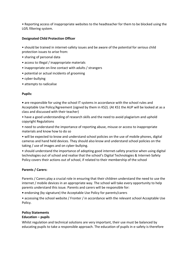*•* Reporting access of inappropriate websites to the headteacher for them to be blocked using the LGfL filtering system.

## **Designated Child Protection Officer**

• should be trained in internet-safety issues and be aware of the potential for serious child protection issues to arise from:

- sharing of personal data
- access to illegal / inappropriate materials
- inappropriate on-line contact with adults / strangers
- potential or actual incidents of grooming
- cyber-bullying
- *•* attempts to radicalise

## **Pupils:**

**•** are responsible for using the school IT systems in accordance with the school rules and Acceptable Use Policy/Agreement (signed by them in KS2). (At KS1 the AUP will be looked at as a class and discussed with their teacher)

• have a good understanding of research skills and the need to avoid plagiarism and uphold copyright Regulations

• need to understand the importance of reporting abuse, misuse or access to inappropriate materials and know how to do so

• will be expected to know and understand school policies on the use of mobile phones, digital cameras and hand held devices. They should also know and understand school policies on the taking / use of images and on cyber-bullying.

• should understand the importance of adopting good internet-safety practice when using digital technologies out of school and realise that the school's Digital Technologies & Internet-Safety Policy covers their actions out of school, if related to their membership of the school

# **Parents / Carers:**

Parents / Carers play a crucial role in ensuring that their children understand the need to use the internet / mobile devices in an appropriate way. The school will take every opportunity to help parents understand this issue*.* Parents and carers will be responsible for:

**•** endorsing (by signature) the Acceptable Use Policy for parents/carers

• accessing the school website / Fronter / in accordance with the relevant school Acceptable Use Policy.

# **Policy Statements**

## **Education – pupils**

Whilst regulation and technical solutions are very important, their use must be balanced by educating pupils to take a responsible approach. The education of pupils in e-safety is therefore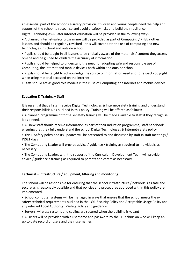an essential part of the school's e-safety provision. Children and young people need the help and support of the school to recognise and avoid e-safety risks and build their resilience.

Digital Technologies & Safer Internet education will be provided in the following ways:

**•** A planned Internet-safety programme will be provided as part of Computing / PHSE / other lessons and should be regularly revisited – this will cover both the use of computing and new technologies in school and outside school

• Pupils should be taught in all lessons to be critically aware of the materials / content they access on-line and be guided to validate the accuracy of information

- Pupils should be helped to understand the need for adopting safe and responsible use of Computing, the internet and mobile devices both within and outside school
- Pupils should be taught to acknowledge the source of information used and to respect copyright when using material accessed on the internet
- Staff should act as good role models in their use of Computing, the internet and mobile devices

## **Education & Training – Staff**

It is essential that all staff receive Digital Technologies & Internet-safety training and understand their responsibilities, as outlined in this policy. Training will be offered as follows:

- A planned programme of formal e-safety training will be made available to staff if they recognise it as a need.
- All new staff should receive information as part of their induction programme, staff handbook, ensuring that they fully understand the school Digital Technologies & Internet-safety policy
- This E-Safety policy and its updates will be presented to and discussed by staff in staff meetings / INSET days
- The Computing Leader will provide advice / guidance / training as required to individuals as necessary
- The Computing Leader, with the support of the Curriculum Development Team will provide advice / guidance / training as required to parents and carers as necessary

## **Technical – infrastructure / equipment, filtering and monitoring**

The school will be responsible for ensuring that the school infrastructure / network is as safe and secure as is reasonably possible and that policies and procedures approved within this policy are implemented.

• School computer systems will be managed in ways that ensure that the school meets the esafety technical requirements outlined in the LGfL Security Policy and Acceptable Usage Policy and any relevant Local Authority E-Safety Policy and guidance

- Servers, wireless systems and cabling are secured when the building is vacant
- All users will be provided with a username and password by the IT Technician who will keep an up to date record of users and their usernames.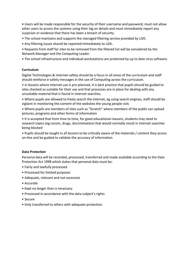**•** Users will be made responsible for the security of their username and password, must not allow other users to access the systems using their log on details and must immediately report any suspicion or evidence that there has been a breach of security.

- The school maintains and supports the managed filtering service provided by LGfL
- Any filtering issues should be reported immediately to LGfL.
- Requests from staff for sites to be removed from the filtered list will be considered by the Network Manager and the Computing Leader.
- The school infrastructure and individual workstations are protected by up to date virus software.

## **Curriculum**

Digital Technologies & Internet-safety should be a focus in all areas of the curriculum and staff should reinforce e-safety messages in the use of Computing across the curriculum.

*•* in lessons where internet use is pre-planned, it is best practice that pupils should be guided to sites checked as suitable for their use and that processes are in place for dealing with any unsuitable material that is found in internet searches.

• Where pupils are allowed to freely search the internet, eg using search engines, staff should be vigilant in monitoring the content of the websites the young people visit.

• Where pupils are members of sites such as "Scratch" where members of the public can upload pictures, programs and other forms of information

• It is accepted that from time to time, for good educational reasons, students may need to research topics (eg racism, drugs, discrimination) that would normally result in internet searches being blocked

• Pupils should be taught in all lessons to be critically aware of the materials / content they access on-line and be guided to validate the accuracy of information

## **Data Protection**

Personal data will be recorded, processed, transferred and made available according to the Data Protection Act 1998 which states that personal data must be:

- Fairly and lawfully processed
- Processed for limited purposes
- Adequate, relevant and not excessive
- Accurate
- Kept no longer than is necessary
- Processed in accordance with the data subject's rights
- Secure
- Only transferred to others with adequate protection.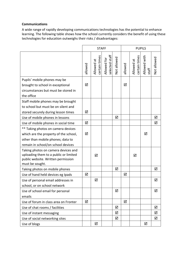## **Communications**

A wide range of rapidly developing communications technologies has the potential to enhance learning. The following table shows how the school currently considers the benefit of using these technologies for education outweighs their risks / disadvantages:

|                                                                                                                                                        | <b>STAFF</b> |                             |                               | <b>PUPILS</b> |         |                             |                       |             |
|--------------------------------------------------------------------------------------------------------------------------------------------------------|--------------|-----------------------------|-------------------------------|---------------|---------|-----------------------------|-----------------------|-------------|
|                                                                                                                                                        | allowed      | certain times<br>Allowed at | selected staff<br>Allowed for | Not allowed   | allowed | certain times<br>Allowed at | Allowed with<br>staff | Not allowed |
| Pupils' mobile phones may be<br>brought to school in exceptional<br>circumstances but must be stored in<br>the office                                  | ☑            |                             |                               |               | ☑       |                             |                       |             |
| Staff mobile phones may be brought<br>to school but must be on silent and<br>stored securely during lesson times                                       | ☑            |                             |                               |               |         |                             |                       |             |
| Use of mobile phones in lessons                                                                                                                        |              |                             |                               | ☑             |         |                             |                       | ☑           |
| Use of mobile phones in social time                                                                                                                    | ☑            |                             |                               |               |         |                             |                       | ☑           |
| ** Taking photos on camera devices<br>which are the property of the school,<br>other than mobile phones; data to<br>remain in school/on school devices | ☑            |                             |                               |               |         |                             | ☑                     |             |
| Taking photos on camera devices and<br>uploading them to a public or limited<br>public website. Written permission<br>must be sought.                  |              | ☑                           |                               |               |         | ☑                           |                       |             |
| Taking photos on mobile phones                                                                                                                         |              |                             |                               | ☑             |         |                             |                       | ☑           |
| Use of hand held devices eg Ipads                                                                                                                      | ☑            |                             |                               |               | ☑       |                             |                       |             |
| Use of personal email addresses in<br>school, or on school network                                                                                     |              | ☑                           |                               |               |         |                             |                       | ☑           |
| Use of school email for personal<br>emails                                                                                                             |              |                             |                               | ☑             |         |                             |                       | ☑           |
| Use of forum in class area on Fronter                                                                                                                  | ☑            |                             |                               |               | ☑       |                             |                       |             |
| Use of chat rooms / facilities                                                                                                                         |              |                             |                               | ☑             |         |                             |                       | ☑           |
| Use of instant messaging                                                                                                                               |              |                             |                               | ☑             |         |                             |                       | ☑           |
| Use of social networking sites                                                                                                                         |              |                             |                               | ☑             |         |                             |                       | ☑           |
| Use of blogs                                                                                                                                           |              | ☑                           |                               |               |         |                             | ☑                     |             |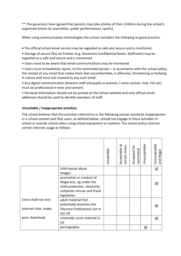\*\* The governors have agreed that parents may take photos of their children during the school's organised events (ie assemblies, public performances, sports).

When using communication technologies the school considers the following as good practice:

**•** The official school email service may be regarded as safe and secure and is monitored.

**•** Storage of secure files on Fronter (e.g. Governors Confidential Room, Staffroom) may be regarded as a safe and secure and is monitored

• Users need to be aware that email communications may be monitored

• Users must immediately report, to the nominated person – in accordance with the school policy, the receipt of any email that makes them feel uncomfortable, is offensive, threatening or bullying in nature and must not respond to any such email.

• Any digital communication between staff and pupils or parents / carers (email, chat, VLE etc) must be professional in tone and content.

• Personal information should not be posted on the school website and only official email addresses should be used to identify members of staff.

# **Unsuitable / inappropriate activities**

The school believes that the activities referred to in the following section would be inappropriate in a school context and that users, as defined below, should not engage in these activities in school or outside school when using school equipment or systems. The school policy restricts certain internet usage as follows:

|                                                |                                                                                                                                   | acceptable | ä<br>certain times<br>Acceptable | Accepted for<br>nominated | Unacceptable | Unacceptable<br>and illegal |
|------------------------------------------------|-----------------------------------------------------------------------------------------------------------------------------------|------------|----------------------------------|---------------------------|--------------|-----------------------------|
|                                                | child sexual abuse<br>images                                                                                                      |            |                                  |                           |              | ☑                           |
|                                                | promotion or conduct of<br>illegal acts, eg under the<br>child protection, obscenity,<br>computer misuse and fraud<br>legislation |            |                                  |                           |              | ☑                           |
| Users shall not visit<br>Internet sites, make, | adult material that<br>potentially breaches the<br>Obscene Publications Act in<br>the UK                                          |            |                                  |                           |              | ⊠                           |
| post, download,                                | criminally racist material in<br>UK                                                                                               |            |                                  |                           |              | ☑                           |
|                                                | pornography                                                                                                                       |            |                                  |                           | ☑            |                             |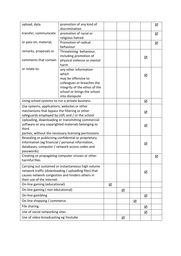| upload, data                                         | promotion of any kind of      |   |   |   |   | ☑ |
|------------------------------------------------------|-------------------------------|---|---|---|---|---|
|                                                      | discrimination                |   |   |   |   |   |
| transfer, communicate                                | promotion of racial or        |   |   |   |   | ☑ |
|                                                      | religious hatred              |   |   |   |   |   |
| or pass on, material,                                | Promotion of radical          |   |   |   |   | ☑ |
|                                                      | behaviour                     |   |   |   |   |   |
| remarks, proposals or                                | Threatening behaviour,        |   |   |   |   |   |
|                                                      | including promotion of        |   |   |   | ☑ |   |
| comments that contain                                | physical violence or mental   |   |   |   |   |   |
|                                                      | harm                          |   |   |   |   |   |
| or relate to:                                        | any other information         |   |   |   |   |   |
|                                                      | which                         |   |   |   | ☑ |   |
|                                                      | may be offensive to           |   |   |   |   |   |
|                                                      | colleagues or breaches the    |   |   |   |   |   |
|                                                      | integrity of the ethos of the |   |   |   |   |   |
|                                                      | school or brings the school   |   |   |   |   |   |
|                                                      | into disrepute                |   |   |   |   |   |
| Using school systems to run a private business       |                               |   |   |   | ☑ |   |
| Use systems, applications, websites or other         |                               |   |   |   |   |   |
| mechanisms that bypass the filtering or other        |                               |   |   |   | ☑ |   |
| safeguards employed by LGfL and / or the school      |                               |   |   |   |   |   |
| Uploading, downloading or transmitting commercial    |                               |   |   |   |   |   |
| software or any copyrighted materials belonging to   |                               |   |   |   | ☑ |   |
| third                                                |                               |   |   |   |   |   |
| parties, without the necessary licensing permissions |                               |   |   |   |   |   |
| Revealing or publicising confidential or proprietary |                               |   |   |   |   |   |
| information (eg financial / personal information,    |                               |   |   |   | ☑ |   |
| databases, computer / network access codes and       |                               |   |   |   |   |   |
| passwords)                                           |                               |   |   |   |   |   |
| Creating or propagating computer viruses or other    |                               |   |   |   |   | ☑ |
| harmful files                                        |                               |   |   |   |   |   |
| Carrying out sustained or instantaneous high volume  |                               |   |   |   |   |   |
| network traffic (downloading / uploading files) that |                               |   |   |   | ☑ |   |
| causes network congestion and hinders others in      |                               |   |   |   |   |   |
| their use of the internet                            |                               |   |   |   |   |   |
| On-line gaming (educational)                         |                               | ☑ |   |   |   |   |
| On-line gaming (non educational)                     |                               |   | ☑ |   |   |   |
| On-line gambling                                     |                               |   |   |   | ☑ |   |
| On-line shopping / commerce                          |                               |   |   | ☑ |   |   |
| File sharing                                         |                               |   |   |   | ☑ |   |
| Use of social networking sites                       |                               |   |   |   | ☑ |   |
| Use of video broadcasting eg Youtube                 |                               |   | ☑ |   |   |   |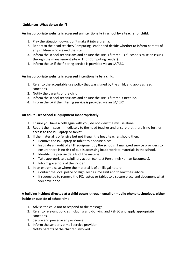#### **Guidance: What do we do if?**

#### **An inappropriate website is accessed unintentionally in school by a teacher or child.**

- 1. Play the situation down; don't make it into a drama.
- 2. Report to the head teacher/Computing Leader and decide whether to inform parents of any children who viewed the site.
- 3. Inform the school technicians and ensure the site is filtered (LGfL schools raise an issues through the management site – HT or Computing Leader).
- 4. Inform the LA if the filtering service is provided via an LA/RBC.

## **An inappropriate website is accessed intentionally by a child.**

- 1. Refer to the acceptable use policy that was signed by the child, and apply agreed sanctions.
- 2. Notify the parents of the child.
- 3. Inform the school technicians and ensure the site is filtered if need be.
- 4. Inform the LA if the filtering service is provided via an LA/RBC.

## **An adult uses School IT equipment inappropriately.**

- 1. Ensure you have a colleague with you, do not view the misuse alone.
- 2. Report the misuse immediately to the head teacher and ensure that there is no further access to the PC, laptop or tablet.
- 3. If the material is offensive but not illegal, the head teacher should then:
	- Remove the PC, laptop or tablet to a secure place.
	- **Instigate an audit of all IT equipment by the schools IT managed service providers to** ensure there is no risk of pupils accessing inappropriate materials in the school.
	- Identify the precise details of the material.
	- Take appropriate disciplinary action (contact Personnel/Human Resources).
	- Inform governors of the incident.
- 4. In an extreme case where the material is of an illegal nature:
	- Contact the local police or High Tech Crime Unit and follow their advice.
	- **If requested to remove the PC, laptop or tablet to a secure place and document what** you have done.

# **A bullying incident directed at a child occurs through email or mobile phone technology, either inside or outside of school time.**

- 1. Advise the child not to respond to the message.
- 2. Refer to relevant policies including anti-bullying and PSHEC and apply appropriate sanctions.
- 3. Secure and preserve any evidence.
- 4. Inform the sender's e-mail service provider.
- 5. Notify parents of the children involved.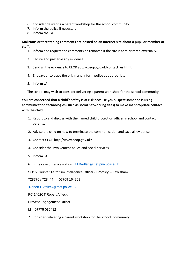- 6. Consider delivering a parent workshop for the school community.
- 7. Inform the police if necessary.
- 8. Inform the LA .

## **Malicious or threatening comments are posted on an Internet site about a pupil or member of staff.**

- 1. Inform and request the comments be removed if the site is administered externally.
- 2. Secure and preserve any evidence.
- 3. Send all the evidence to CEOP at ww.ceop.gov.uk/contact\_us.html.
- 4. Endeavour to trace the origin and inform police as appropriate.
- 5. Inform LA

The school may wish to consider delivering a parent workshop for the school community

# **You are concerned that a child's safety is at risk because you suspect someone is using communication technologies (such as social networking sites) to make inappropriate contact with the child**

- 1. Report to and discuss with the named child protection officer in school and contact parents.
- 2. Advise the child on how to terminate the communication and save all evidence.
- 3. Contact CEOP http://www.ceop.gov.uk/
- 4. Consider the involvement police and social services.
- 5. Inform LA
- 6. In the case of radicalisation: [Jill.Bartlett@met.pnn.police.uk](mailto:Jill.Bartlett@met.pnn.police.uk)

SO15 Counter Terrorism Intelligence Officer - Bromley & Lewisham

728776 / 728444 07769 164201

[Robert.P.Affleck@met.police.uk](mailto:Robert.P.Affleck@met.police.uk)

PC 1402CT Robert Affleck

Prevent Engagement Officer

- M 07775 036482
- 7. Consider delivering a parent workshop for the school .community.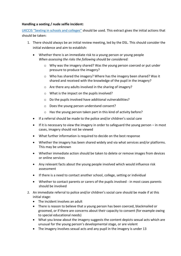#### **Handling a sexting / nude selfie incident:**

[UKCCIS "Sexting in schools and colleges"](http://sexting.lgfl.net/) should be used. This extract gives the initial actions that should be taken:

- 1. There should always be an initial review meeting, led by the DSL. This should consider the initial evidence and aim to establish:
	- Whether there is an immediate risk to a young person or young people *When assessing the risks the following should be considered:* 
		- o Why was the imagery shared? Was the young person coerced or put under pressure to produce the imagery?
		- $\circ$  Who has shared the imagery? Where has the imagery been shared? Was it shared and received with the knowledge of the pupil in the imagery?
		- o Are there any adults involved in the sharing of imagery?
		- o What is the impact on the pupils involved?
		- o Do the pupils involved have additional vulnerabilities?
		- o Does the young person understand consent?
		- o Has the young person taken part in this kind of activity before?
	- If a referral should be made to the police and/or children's social care
	- If it is necessary to view the imagery in order to safeguard the young person  $-$  in most cases, imagery should not be viewed
	- What further information is required to decide on the best response
	- Whether the imagery has been shared widely and via what services and/or platforms. This may be unknown
	- Whether immediate action should be taken to delete or remove images from devices or online services
	- Any relevant facts about the young people involved which would influence risk assessment
	- If there is a need to contact another school, college, setting or individual
	- Whether to contact parents or carers of the pupils involved in most cases parents should be involved
- 2. An immediate referral to police and/or children's social care should be made if at this initial stage:
	- The incident involves an adult
	- There is reason to believe that a young person has been coerced, blackmailed or groomed, or if there are concerns about their capacity to consent (for example owing to special educational needs)
	- What you know about the imagery suggests the content depicts sexual acts which are unusual for the young person's developmental stage, or are violent
	- The imagery involves sexual acts and any pupil in the imagery is under 13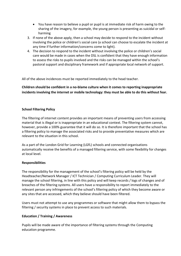- You have reason to believe a pupil or pupil is at immediate risk of harm owing to the sharing of the imagery, for example, the young person is presenting as suicidal or selfharming
- 3. If none of the above apply, then a school may decide to respond to the incident without involving the police or children's social care (a school can choose to escalate the incident at any time if further information/concerns come to light).
- 4. The decision to respond to the incident without involving the police or children's social care would be made in cases when the DSL is confident that they have enough information to assess the risks to pupils involved and the risks can be managed within the school's pastoral support and disciplinary framework and if appropriate local network of support.

All of the above incidences must be reported immediately to the head teacher.

**Children should be confident in a no-blame culture when it comes to reporting inappropriate incidents involving the internet or mobile technology: they must be able to do this without fear.** 

#### **School Filtering Policy**

The filtering of internet content provides an important means of preventing users from accessing material that is illegal or is inappropriate in an educational context. The filtering system cannot, however, provide a 100% guarantee that it will do so. It is therefore important that the school has a filtering policy to manage the associated risks and to provide preventative measures which are relevant to the situation in this school.

As a part of the London Grid for Learning (LGfL) schools and connected organisations automatically receive the benefits of a managed filtering service, with some flexibility for changes at local level.

#### **Responsibilities**

The responsibility for the management of the school's filtering policy will be held by the Headteacher/Network Manager / ICT Technician / Computing Curriculum Leader. They will manage the school filtering, in line with this policy and will keep records / logs of changes and of breaches of the filtering systems. All users have a responsibility to report immediately to the relevant person any infringements of the school's filtering policy of which they become aware or any sites that are accessed, which they believe should have been filtered.

Users must not attempt to use any programmes or software that might allow them to bypass the filtering / security systems in place to prevent access to such materials.

## **Education / Training / Awareness**

Pupils will be made aware of the importance of filtering systems through the Computing education programme.